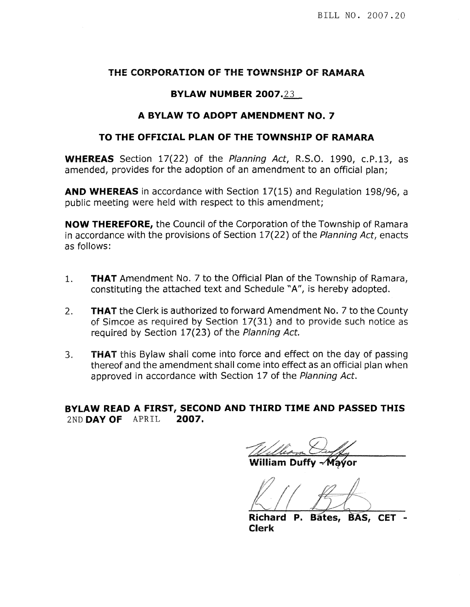### **THE CORPORATION OF THE TOWNSHIP OF RAMARA**

#### **BYLAW NUMBER 2007.23**

#### **A BYLAW TO ADOPT AMENDMENT NO.7**

#### **TO THE OFFICIAL PLAN OF THE TOWNSHIP OF RAMARA**

**WHEREAS** Section 17(22) of the Planning Act, R.S.O. 1990, c.P.13, as amended, provides for the adoption of an amendment to an official plan;

**AND WHEREAS** in accordance with Section 17(15) and Regulation 198/96, a public meeting were held with respect to this amendment;

**NOW THEREFORE,** the Council of the Corporation of the Township of Ramara in accordance with the provisions of Section 17(22) of the Planning Act, enacts as follows:

- 1. **THAT** Amendment NO.7 to the Official Plan of the Township of Ramara, constituting the attached text and Schedule "A", is hereby adopted.
- 2. **THAT** the Clerk is authorized to forward Amendment NO.7 to the County of Simcoe as required by Section 17(31) and to provide such notice as required by Section 17(23) of the Planning Act.
- 3. **THAT** this Bylaw shall come into force and effect on the day of passing thereof and the amendment shall come into effect as an official plan when approved in accordance with Section 17 of the Planning Act.

**BYLAW READ A FIRST, SECOND AND THIRD TIME AND PASSED THIS**  2ND **DAY OF** APRIL **2007.** 

William Duffy *~Ma*ýor

Richard P. Bates, BAS, CET -**Clerk**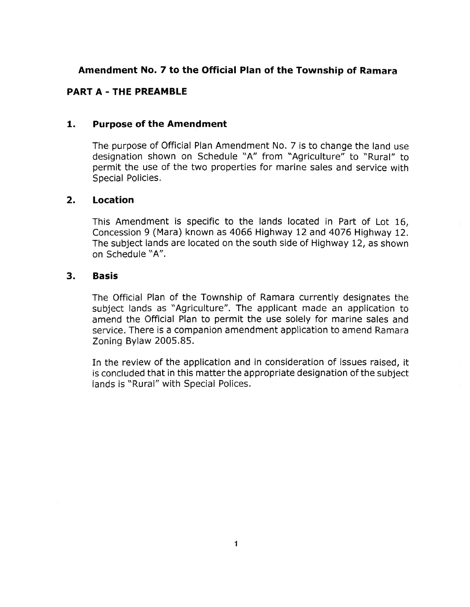## **Amendment No.7 to the Official Plan of the Township of Ramara**

## **PART A - THE PREAMBLE**

### **1. Purpose of the Amendment**

The purpose of Official Plan Amendment No. 7 is to change the land use designation shown on Schedule *"A"* from "Agriculture" to "Rural" to permit the use of the two properties for marine sales and service with Special Policies.

#### 2. **Location**

This Amendment is specific to the lands located in Part of Lot 16, Concession 9 (Mara) known as 4066 Highway 12 and 4076 Highway 12. The subject lands are located on the south side of Highway 12, as shown on Schedule "A".

#### **3. Basis**

The Official Plan of the Township of Ramara currently designates the subject lands as "Agriculture". The applicant made an application to amend the Official Plan to permit the use solely for marine sales and service. There is a companion amendment application to amend Ramara Zoning Bylaw 2005.85.

In the review of the application and in consideration of issues raised, it is concluded that in this matter the appropriate designation of the subject lands is "Rural" with Special Polices.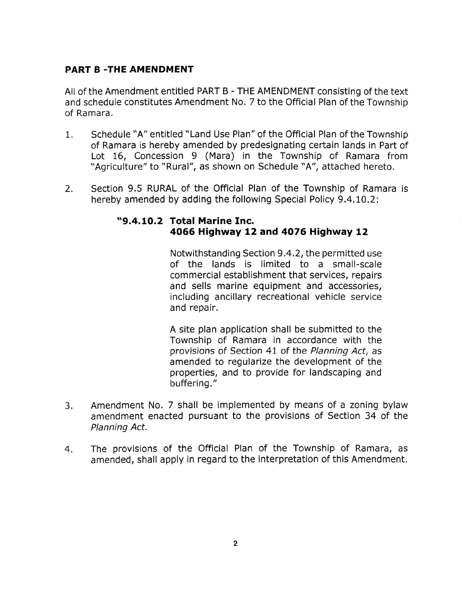## **PART B -THE AMENDMENT**

All of the Amendment entitled PART B - THE AMENDMENT consisting of the text and schedule constitutes Amendment No. 7 to the Official Plan of the Township of Ramara.

- 1. Schedule "A" entitled "Land Use Plan" of the Official Plan of the Township of Ramara is hereby amended by predesignating certain lands in Part of Lot 16, Concession 9 (Mara) in the Township of Ramara from "Agriculture" to "Rural", as shown on Schedule "A", attached hereto.
- 2. Section 9.5 RURAL of the Official Plan of the Township of Ramara is hereby amended by adding the following Special Policy 9.4.10.2:

## **"9.4.10.2 Total Marine Inc. 4066 Highway 12 and 4076 Highway 12**

Notwithstanding Section 9.4.2, the permitted use of the lands is limited to a small-scale commercial establishment that services, repairs and sells marine equipment and accessories, including ancillary recreational vehicle service and repair.

A site plan application shall be submitted to the Township of Ramara in accordance with the provisions of Section 41 of the Planning Act, as amended to regularize the development of the properties, and to provide for landscaping and buffering."

- 3. Amendment No.7 shall be implemented by means of a zoning bylaw amendment enacted pursuant to the provisions of Section 34 of the Planning Act.
- 4. The provisions of the Official Plan of the Township of Ramara, as amended, shall apply in regard to the interpretation of this Amendment.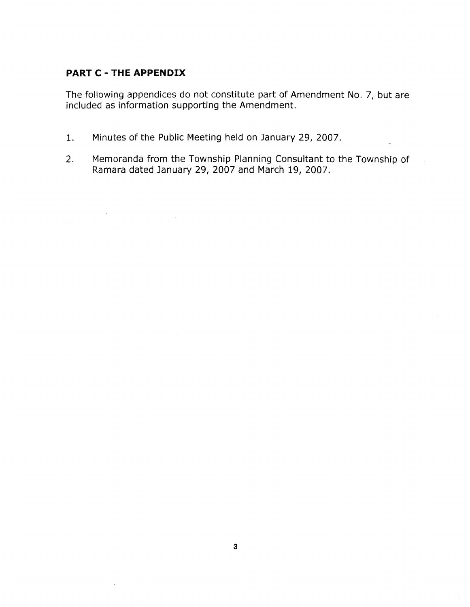# **PART C . THE APPENDIX**

The following appendices do not constitute part of Amendment No.7, but are included as information supporting the Amendment.

- 1. Minutes of the Public Meeting held on January 29, 2007.
- 2. Memoranda from the Township Planning Consultant to the Township of Ramara dated January 29,2007 and March 19, 2007.